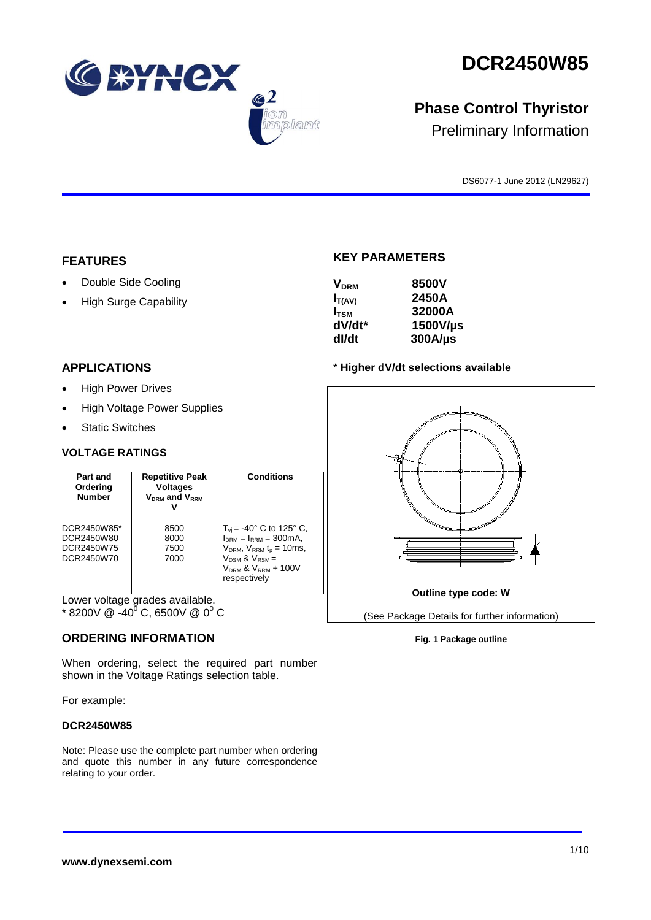**DCR2450W85**



Preliminary Information

DS6077-1 June 2012 (LN29627)

## **FEATURES**

Double Side Cooling

WINCX

 $\bigcirc$  2

mplant

High Surge Capability

## **APPLICATIONS**

- High Power Drives
- High Voltage Power Supplies
- Static Switches

## **VOLTAGE RATINGS**

| Part and<br>Ordering<br><b>Number</b>                 | <b>Repetitive Peak</b><br><b>Voltages</b><br>$V_{DRM}$ and $V_{RRM}$ | <b>Conditions</b>                                                                                                                                                                                |
|-------------------------------------------------------|----------------------------------------------------------------------|--------------------------------------------------------------------------------------------------------------------------------------------------------------------------------------------------|
| DCR2450W85*<br>DCR2450W80<br>DCR2450W75<br>DCR2450W70 | 8500<br>8000<br>7500<br>7000                                         | $T_{vi}$ = -40° C to 125° C,<br>$I_{DRM} = I_{RRM} = 300 \text{mA}$ ,<br>$V_{DRM}$ , $V_{RRM}$ t <sub>p</sub> = 10ms,<br>$V_{DSM}$ & $V_{RSM}$ =<br>$V_{DRM}$ & $V_{RRM}$ + 100V<br>respectively |

Lower voltage grades available.

 $*$  8200V @ -40<sup>0</sup> C, 6500V @ 0<sup>0</sup> C

## **ORDERING INFORMATION**

When ordering, select the required part number shown in the Voltage Ratings selection table.

For example:

## **DCR2450W85**

Note: Please use the complete part number when ordering and quote this number in any future correspondence relating to your order.

# **KEY PARAMETERS**

| <b>V<sub>DRM</sub></b> | 8500V        |
|------------------------|--------------|
| $I_{T(AV)}$            | 2450A        |
| $I_{TSM}$              | 32000A       |
| dV/dt*                 | 1500V/µs     |
| dl/dt                  | $300A/\mu s$ |

## \* **Higher dV/dt selections available**



## **Fig. 1 Package outline**

### **www.dynexsemi.com**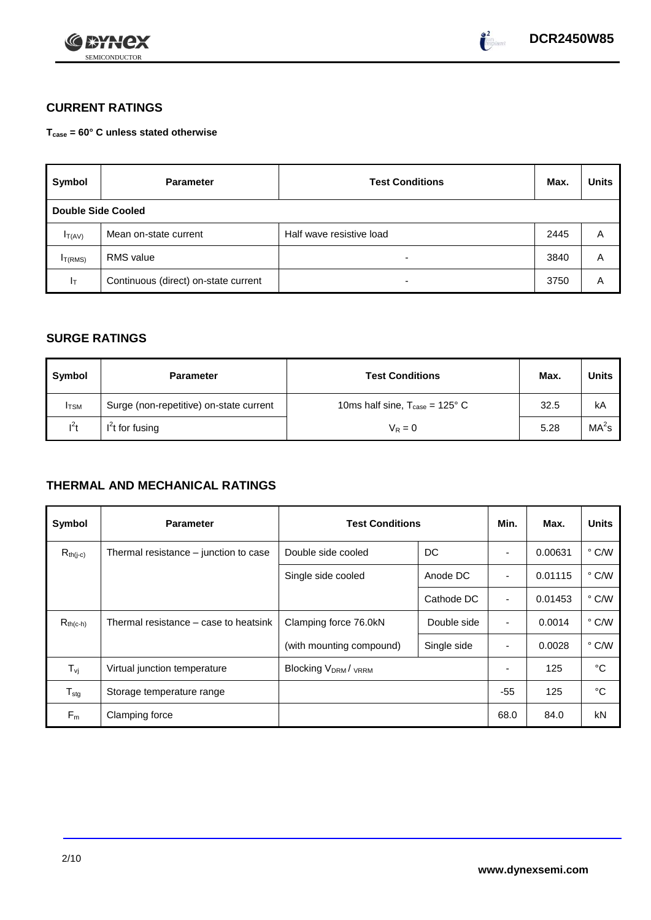



# **CURRENT RATINGS**

**Tcase = 60° C unless stated otherwise**

| Symbol                    | <b>Parameter</b>                     | <b>Test Conditions</b>   |      | <b>Units</b> |
|---------------------------|--------------------------------------|--------------------------|------|--------------|
| <b>Double Side Cooled</b> |                                      |                          |      |              |
| $I_{T(AV)}$               | Mean on-state current                | Half wave resistive load | 2445 | Α            |
| I <sub>T(RMS)</sub>       | <b>RMS</b> value                     | -                        | 3840 | Α            |
| $I_{\text{T}}$            | Continuous (direct) on-state current | -                        | 3750 | Α            |

## **SURGE RATINGS**

| Symbol       | <b>Parameter</b>                        | <b>Test Conditions</b>                            |      |                   |  |
|--------------|-----------------------------------------|---------------------------------------------------|------|-------------------|--|
| <b>I</b> TSM | Surge (non-repetitive) on-state current | 10ms half sine, $T_{\text{case}} = 125^{\circ}$ C | 32.5 | kA                |  |
| $l^2t$       | $I2t$ for fusing                        | $V_R = 0$                                         | 5.28 | MA <sup>2</sup> s |  |

# **THERMAL AND MECHANICAL RATINGS**

| Symbol              | <b>Parameter</b>                      | <b>Test Conditions</b>    | Min.        | Max.           | <b>Units</b> |               |
|---------------------|---------------------------------------|---------------------------|-------------|----------------|--------------|---------------|
| $R_{th(j-c)}$       | Thermal resistance – junction to case | Double side cooled        | DC          |                | 0.00631      | $\degree$ C/W |
|                     |                                       | Single side cooled        | Anode DC    |                | 0.01115      | $\degree$ C/W |
|                     |                                       |                           | Cathode DC  | $\blacksquare$ | 0.01453      | $\degree$ C/W |
| $R_{th(c-h)}$       | Thermal resistance – case to heatsink | Clamping force 76.0kN     | Double side | ٠              | 0.0014       | $\degree$ C/W |
|                     |                                       | (with mounting compound)  | Single side |                | 0.0028       | $\degree$ C/W |
| $T_{\nu j}$         | Virtual junction temperature          | <b>Blocking VDRM/VRRM</b> |             | ٠              | 125          | °C            |
| ${\sf T}_{\sf stg}$ | Storage temperature range             |                           |             | $-55$          | 125          | °C            |
| $F_m$               | Clamping force                        |                           |             | 68.0           | 84.0         | kN            |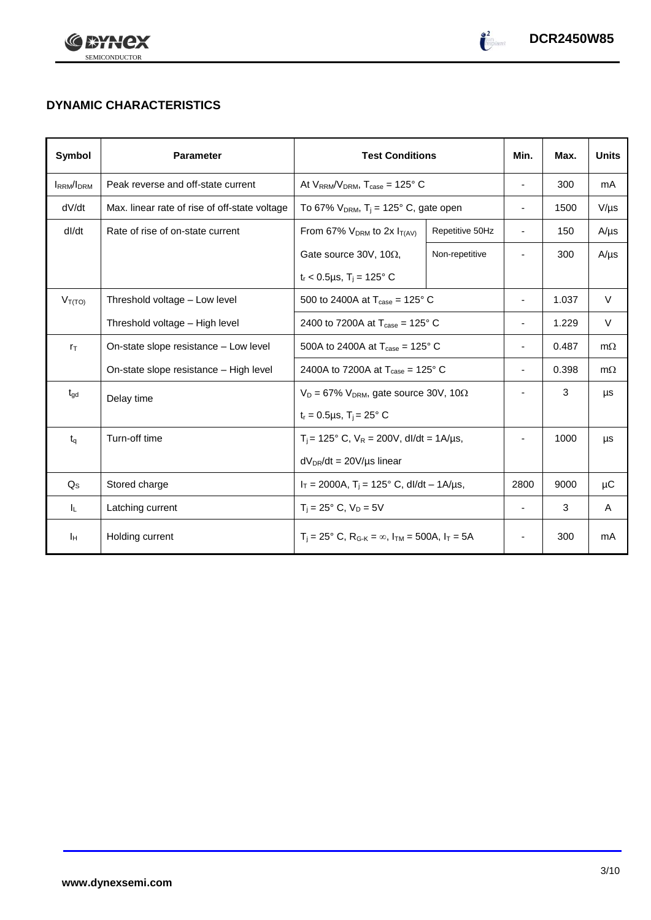



# **DYNAMIC CHARACTERISTICS**

| Symbol            | <b>Parameter</b>                              | <b>Test Conditions</b>                                                |                 | Min.                     | Max.  | <b>Units</b> |
|-------------------|-----------------------------------------------|-----------------------------------------------------------------------|-----------------|--------------------------|-------|--------------|
| <b>IRRM</b> /IDRM | Peak reverse and off-state current            | At $V_{RRM}/V_{DRM}$ , $T_{case} = 125^{\circ}$ C                     |                 | $\overline{\phantom{a}}$ | 300   | mA           |
| dV/dt             | Max. linear rate of rise of off-state voltage | To 67% $V_{DRM}$ , T <sub>i</sub> = 125° C, gate open                 |                 | $\overline{\phantom{a}}$ | 1500  | $V/\mu s$    |
| dl/dt             | Rate of rise of on-state current              | From 67% $V_{DRM}$ to 2x $I_{T(AV)}$                                  | Repetitive 50Hz | $\overline{\phantom{a}}$ | 150   | $A/\mu s$    |
|                   |                                               | Gate source 30V, 10 $\Omega$ ,                                        | Non-repetitive  |                          | 300   | $A/\mu s$    |
|                   |                                               | $t_r$ < 0.5µs, T <sub>i</sub> = 125° C                                |                 |                          |       |              |
| $V_{T(TO)}$       | Threshold voltage - Low level                 | 500 to 2400A at $T_{\text{case}} = 125^{\circ}$ C                     |                 | ۰                        | 1.037 | $\vee$       |
|                   | Threshold voltage - High level                | 2400 to 7200A at $T_{\text{case}} = 125^{\circ}$ C                    |                 | ٠                        | 1.229 | V            |
| $r_{\text{T}}$    | On-state slope resistance – Low level         | 500A to 2400A at $T_{\text{case}} = 125^{\circ}$ C                    |                 | $\overline{\phantom{a}}$ | 0.487 | $m\Omega$    |
|                   | On-state slope resistance - High level        | 2400A to 7200A at $T_{\text{case}} = 125^{\circ}$ C                   |                 | $\overline{\phantom{a}}$ | 0.398 | $m\Omega$    |
| $t_{\text{gd}}$   | Delay time                                    | $V_D = 67\%$ V <sub>DRM</sub> , gate source 30V, 10 $\Omega$          |                 | -                        | 3     | μs           |
|                   |                                               | $t_r = 0.5 \mu s$ , $T_i = 25^\circ$ C                                |                 |                          |       |              |
| $t_{\alpha}$      | Turn-off time                                 | $T_i$ = 125° C, $V_R$ = 200V, dl/dt = 1A/µs,                          |                 |                          | 1000  | μs           |
|                   |                                               | $dV_{DR}/dt = 20V/\mu s$ linear                                       |                 |                          |       |              |
| $Q_{\rm S}$       | Stored charge                                 | $I_T = 2000A$ , $T_i = 125^\circ$ C, dl/dt – 1A/us,                   |                 | 2800                     | 9000  | μC           |
| IL.               | Latching current                              | $T_i = 25^\circ$ C, $V_D = 5V$                                        |                 | $\blacksquare$           | 3     | A            |
| Iн                | Holding current                               | $T_i = 25^\circ$ C, $R_{G-K} = \infty$ , $I_{TM} = 500A$ , $I_T = 5A$ |                 | $\overline{\phantom{a}}$ | 300   | mA           |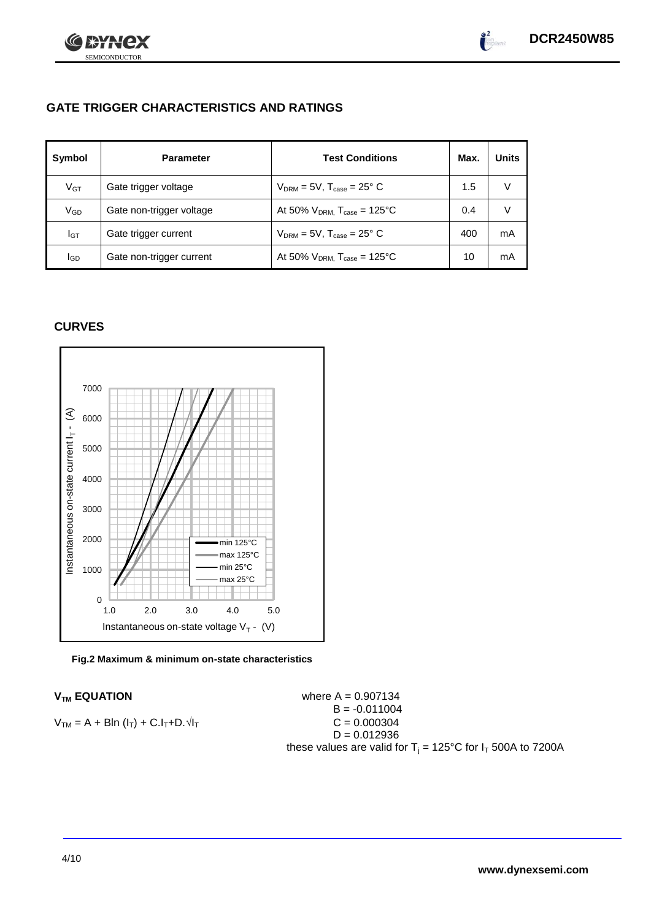



# **GATE TRIGGER CHARACTERISTICS AND RATINGS**

| Symbol       | <b>Parameter</b>         | <b>Test Conditions</b>                | Max. | <b>Units</b> |
|--------------|--------------------------|---------------------------------------|------|--------------|
| $V$ GT       | Gate trigger voltage     | $V_{DRM}$ = 5V, $T_{case}$ = 25° C    | 1.5  | v            |
| $\rm V_{GD}$ | Gate non-trigger voltage | At 50% $V_{DRM}$ , $T_{case}$ = 125°C | 0.4  | V            |
| Iст          | Gate trigger current     | $V_{DRM}$ = 5V, $T_{case}$ = 25° C    | 400  | mA           |
| lgp          | Gate non-trigger current | At 50% $V_{DRM}$ , $T_{case}$ = 125°C | 10   | mA           |

## **CURVES**



### **Fig.2 Maximum & minimum on-state characteristics**

 $V_{TM}$  **EQUATION Where A** = 0.907134  $B = -0.011004$  $V_{TM} = A + Bln (l_T) + C.l_T + D.1$  $D = 0.012936$ these values are valid for  $T_i = 125^{\circ}C$  for  $I_T$  500A to 7200A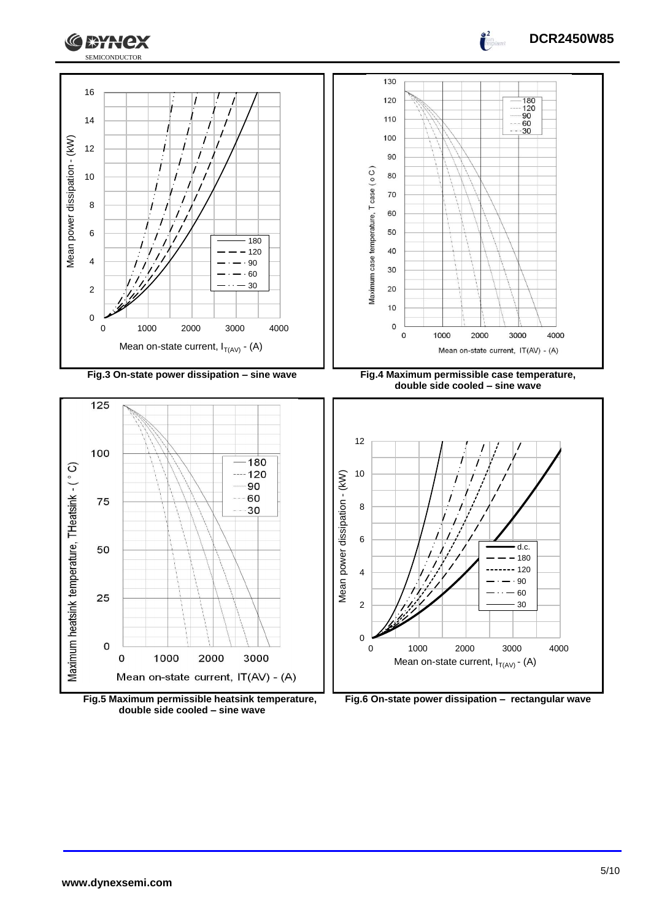



 $\int_0^2$ 



**Fig.6 On-state power dissipation – rectangular wave**

**Fig.5 Maximum permissible heatsink temperature, double side cooled – sine wave**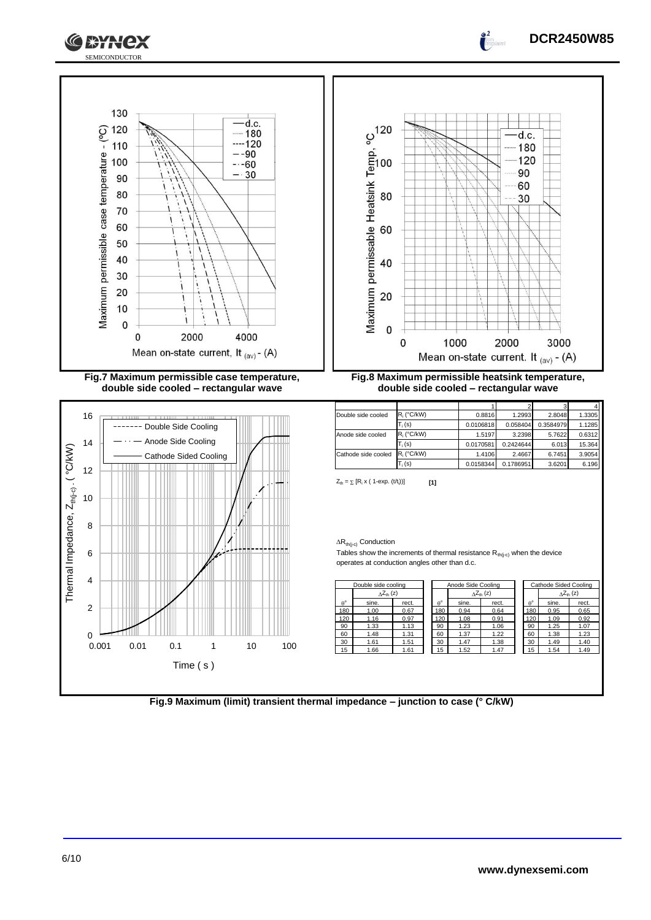





**double side cooled – rectangular wave**



**double side cooled – rectangular wave**

| Double side cooled  | R <sub>i</sub> (°C/kW) | 0.8816    | 1.2993    | 2.8048    | 1.3305 |
|---------------------|------------------------|-----------|-----------|-----------|--------|
|                     | $T_i(s)$               | 0.0106818 | 0.058404  | 0.3584979 | 1.1285 |
| Anode side cooled   | R <sub>i</sub> (°C/kW) | 1.5197    | 3.2398    | 5.7622    | 0.6312 |
|                     | $T_i(s)$               | 0.0170581 | 0.2424644 | 6.013     | 15.364 |
| Cathode side cooled | R <sub>i</sub> (°C/kW) | 1.4106    | 2.4667    | 6.7451    | 3.9054 |
|                     | $T_i(s)$               | 0.0158344 | 0.1786951 | 3.6201    | 6.196  |

 $Z_{\text{th}} = \sum [R_i \times (1-\exp. (t/t_i))]$  [1]

 $\Delta R_{th(j-c)}$  Conduction

Tables show the increments of thermal resistance  $R_{th(j-c)}$  when the device operates at conduction angles other than d.c.

|             | Double side cooling       |       |             | Anode Side Cooling |                            |                  | Cathode Sided Cooling |                           |
|-------------|---------------------------|-------|-------------|--------------------|----------------------------|------------------|-----------------------|---------------------------|
|             | $\Delta Z_{\text{th}}(z)$ |       |             |                    | $\Delta Z_{\text{th}}$ (z) |                  |                       | $\Delta Z_{\text{th}}(z)$ |
| $A^{\circ}$ | sine.                     | rect. | $A^{\circ}$ | sine.              | rect.                      | $\theta^{\circ}$ | sine.                 | rect.                     |
| 180         | 1.00                      | 0.67  | 180         | 0.94               | 0.64                       | 180              | 0.95                  | 0.65                      |
| 120         | 1.16                      | 0.97  | 20          | 1.08               | 0.91                       | 120              | 1.09                  | 0.92                      |
| 90          | 1.33                      | 1.13  | 90          | 1.23               | 1.06                       | 90               | 1.25                  | 1.07                      |
| 60          | 1.48                      | 1.31  | 60          | 1.37               | 1.22                       | 60               | 1.38                  | 1.23                      |
| 30          | 1.61                      | 1.51  | 30          | 1.47               | 1.38                       | 30               | 1.49                  | 1.40                      |
| 15          | 1.66                      | 1.61  | 15          | 1.52               | 1.47                       | 15               | 1.54                  | 1.49                      |

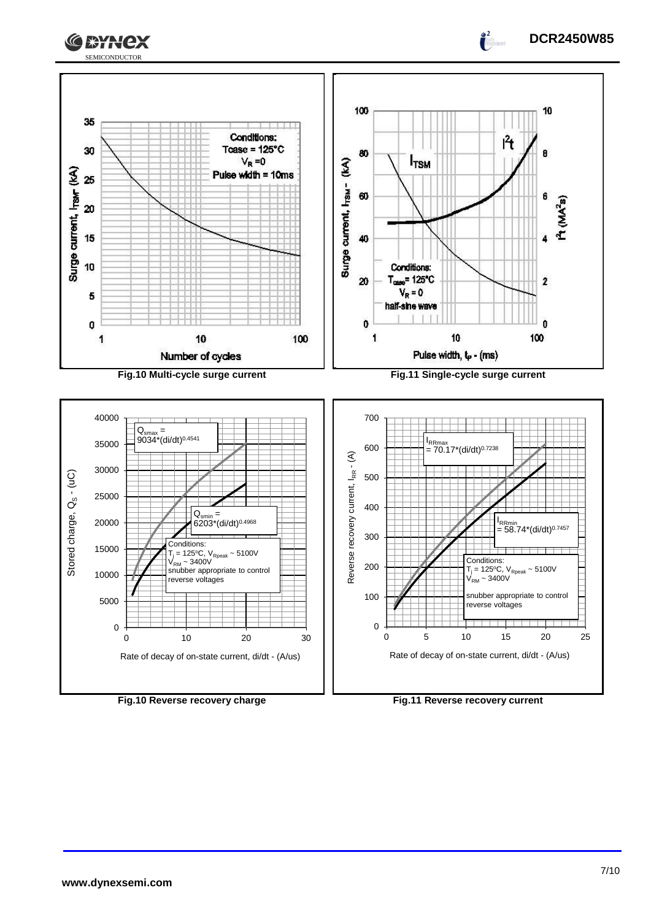



0

0 0 10 20 30 Rate of decay of on-state current, di/dt - (A/us)

**Fig.10 Reverse recovery charge Fig.11 Reverse recovery current**

0 5 10 15 20 25

Rate of decay of on-state current, di/dt - (A/us)

**DCR2450W85**

 $\frac{2}{1}$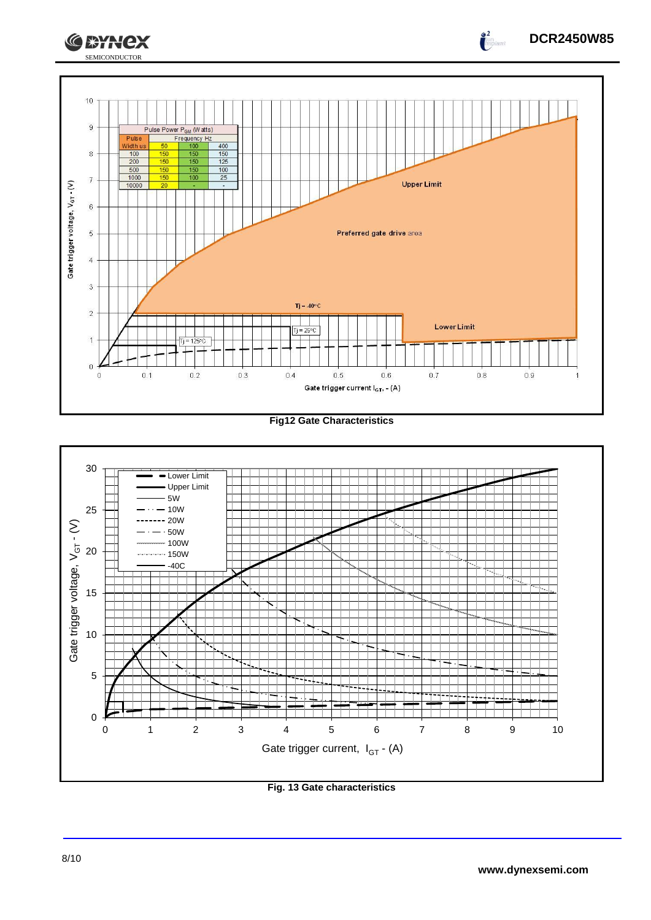

### **Fig12 Gate Characteristics**



**Fig. 13 Gate characteristics**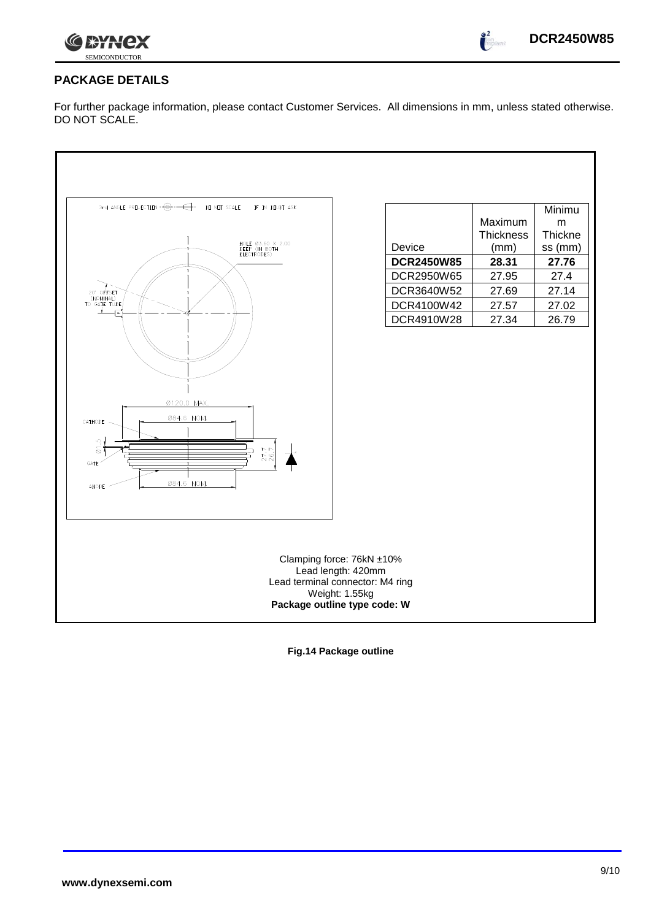

 $\bullet^2$ 

# **PACKAGE DETAILS**

For further package information, please contact Customer Services. All dimensions in mm, unless stated otherwise. DO NOT SCALE.

| 3rd ANGLE PREJECTION $-\bigodot -\bigodot$<br>DO NOT SCALE<br>IF IN DOUBT ASK<br>HOLE Ø3.60 X 2.00<br>DEEP (IN BOTH<br>ELECTRODES)<br>20" OFFSET<br>(NOMINAL)<br>TO GATE TUBE<br>$\overline{\bullet}$<br>Ø120.0 MAX.<br>084.6 NOM.<br>CATHODE<br>$\overline{\omega}$ 1.5<br>27.7<br>GATE<br>084.6 NOM.<br><b>ANODE</b> | Device<br><b>DCR2450W85</b><br>DCR2950W65<br>DCR3640W52<br>DCR4100W42<br>DCR4910W28                                                   | Maximum<br><b>Thickness</b><br>(mm)<br>28.31<br>27.95<br>27.69<br>27.57<br>27.34 | Minimu<br>m<br>Thickne<br>ss (mm)<br>27.76<br>27.4<br>27.14<br>27.02<br>26.79 |
|------------------------------------------------------------------------------------------------------------------------------------------------------------------------------------------------------------------------------------------------------------------------------------------------------------------------|---------------------------------------------------------------------------------------------------------------------------------------|----------------------------------------------------------------------------------|-------------------------------------------------------------------------------|
|                                                                                                                                                                                                                                                                                                                        | Clamping force: 76kN ±10%<br>Lead length: 420mm<br>Lead terminal connector: M4 ring<br>Weight: 1.55kg<br>Package outline type code: W |                                                                                  |                                                                               |

**Fig.14 Package outline**